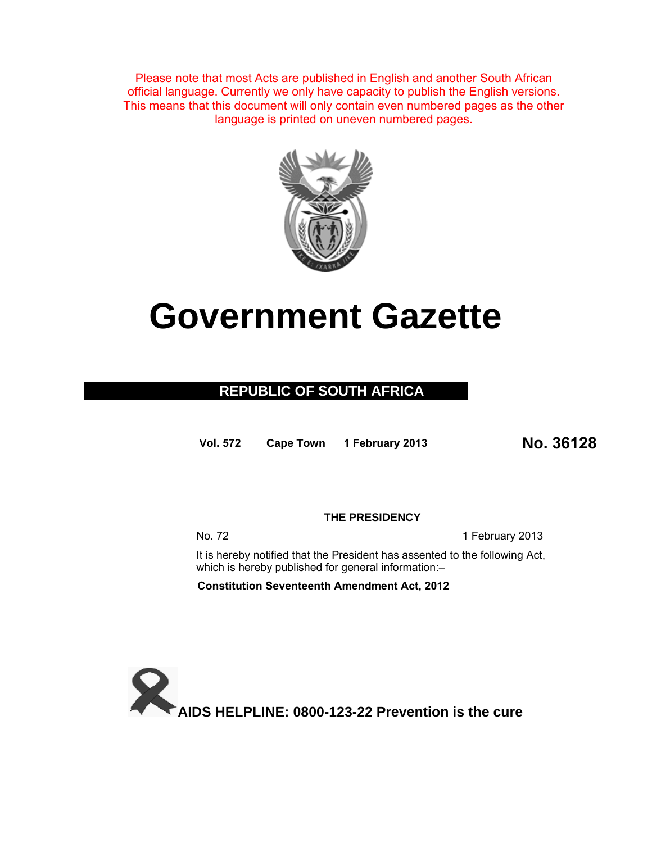Please note that most Acts are published in English and another South African official language. Currently we only have capacity to publish the English versions. This means that this document will only contain even numbered pages as the other language is printed on uneven numbered pages.



# **Government Gazette**

## **REPUBLIC OF SOUTH AFRICA**

**Vol. 572 Cape Town 1 February 2013 No. 36128**

**THE PRESIDENCY** 

No. 72 1 February 2013

It is hereby notified that the President has assented to the following Act, which is hereby published for general information:-

**Constitution Seventeenth Amendment Act, 2012**

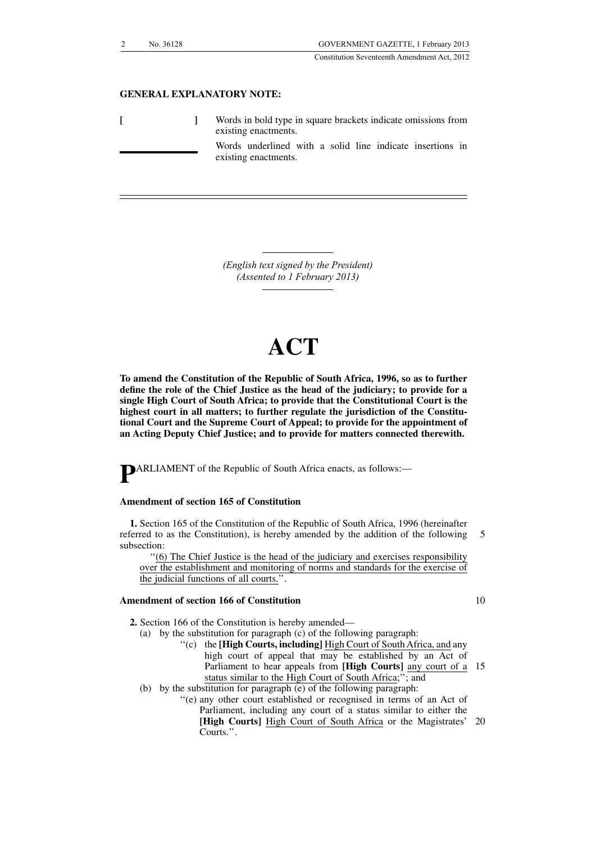Constitution Seventeenth Amendment Act, 2012

## **GENERAL EXPLANATORY NOTE:**

|  | Words in bold type in square brackets indicate omissions from<br>existing enactments. |
|--|---------------------------------------------------------------------------------------|
|  | Words underlined with a solid line indicate insertions in<br>existing enactments.     |

*(English text signed by the President) (Assented to 1 February 2013)*

## **ACT**

**To amend the Constitution of the Republic of South Africa, 1996, so as to further define the role of the Chief Justice as the head of the judiciary; to provide for a single High Court of South Africa; to provide that the Constitutional Court is the highest court in all matters; to further regulate the jurisdiction of the Constitutional Court and the Supreme Court of Appeal; to provide for the appointment of an Acting Deputy Chief Justice; and to provide for matters connected therewith.**

**P**ARLIAMENT of the Republic of South Africa enacts, as follows:—

## **Amendment of section 165 of Constitution**

**1.** Section 165 of the Constitution of the Republic of South Africa, 1996 (hereinafter referred to as the Constitution), is hereby amended by the addition of the following subsection: 5

''(6) The Chief Justice is the head of the judiciary and exercises responsibility over the establishment and monitoring of norms and standards for the exercise of the judicial functions of all courts.''.

## **Amendment of section 166 of Constitution**

- **2.** Section 166 of the Constitution is hereby amended—
	- (a) by the substitution for paragraph (c) of the following paragraph:
		- ''(c) the **[High Courts, including]** High Court of South Africa, and any high court of appeal that may be established by an Act of Parliament to hear appeals from **[High Courts]** any court of a 15 status similar to the High Court of South Africa;''; and
	- (b) by the substitution for paragraph (e) of the following paragraph:
		- ''(e) any other court established or recognised in terms of an Act of Parliament, including any court of a status similar to either the **[High Courts]** High Court of South Africa or the Magistrates' 20 Courts.''.

10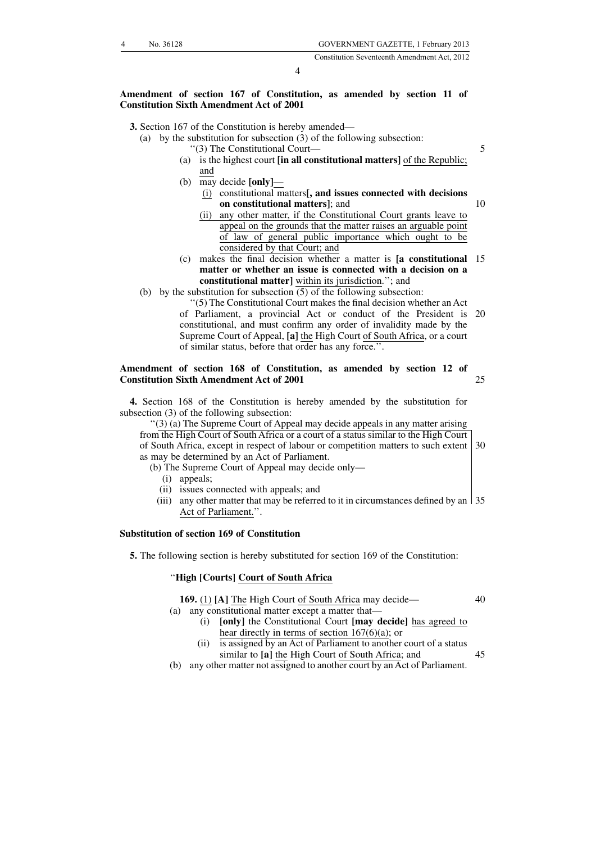5

10

40

4

## **Amendment of section 167 of Constitution, as amended by section 11 of Constitution Sixth Amendment Act of 2001**

### **3.** Section 167 of the Constitution is hereby amended—

- (a) by the substitution for subsection (3) of the following subsection:
	- ''(3) The Constitutional Court—
	- (a) is the highest court **[in all constitutional matters]** of the Republic; and
	- (b) may decide **[only]**
		- (i) constitutional matters**[, and issues connected with decisions on constitutional matters]**; and
		- (ii) any other matter, if the Constitutional Court grants leave to appeal on the grounds that the matter raises an arguable point of law of general public importance which ought to be considered by that Court; and
	- (c) makes the final decision whether a matter is **[a constitutional** 15 **matter or whether an issue is connected with a decision on a constitutional matter]** within its jurisdiction.''; and
- (b) by the substitution for subsection  $\overline{(5)}$  of the following subsection:

''(5) The Constitutional Court makes the final decision whether an Act of Parliament, a provincial Act or conduct of the President is constitutional, and must confirm any order of invalidity made by the Supreme Court of Appeal, **[a]** the High Court of South Africa, or a court of similar status, before that order has any force.''. 20

#### **Amendment of section 168 of Constitution, as amended by section 12 of Constitution Sixth Amendment Act of 2001** 25

**4.** Section 168 of the Constitution is hereby amended by the substitution for subsection (3) of the following subsection:

''(3) (a) The Supreme Court of Appeal may decide appeals in any matter arising from the High Court of South Africa or a court of a status similar to the High Court of South Africa, except in respect of labour or competition matters to such extent 30 as may be determined by an Act of Parliament.

- (b) The Supreme Court of Appeal may decide only—
	- (i) appeals;
- (ii) issues connected with appeals; and
- (iii) any other matter that may be referred to it in circumstances defined by an 35 Act of Parliament.''.

## **Substitution of section 169 of Constitution**

**5.** The following section is hereby substituted for section 169 of the Constitution:

## ''**High [Courts] Court of South Africa**

**169.** (1) **[A]** The High Court of South Africa may decide—

- (a) any constitutional matter except a matter that—
	- (i) **[only]** the Constitutional Court **[may decide]** has agreed to hear directly in terms of section 167(6)(a); or
	- (ii) is assigned by an Act of Parliament to another court of a status similar to **[a]** the High Court of South Africa; and 45
- (b) any other matter not assigned to another court by an Act of Parliament.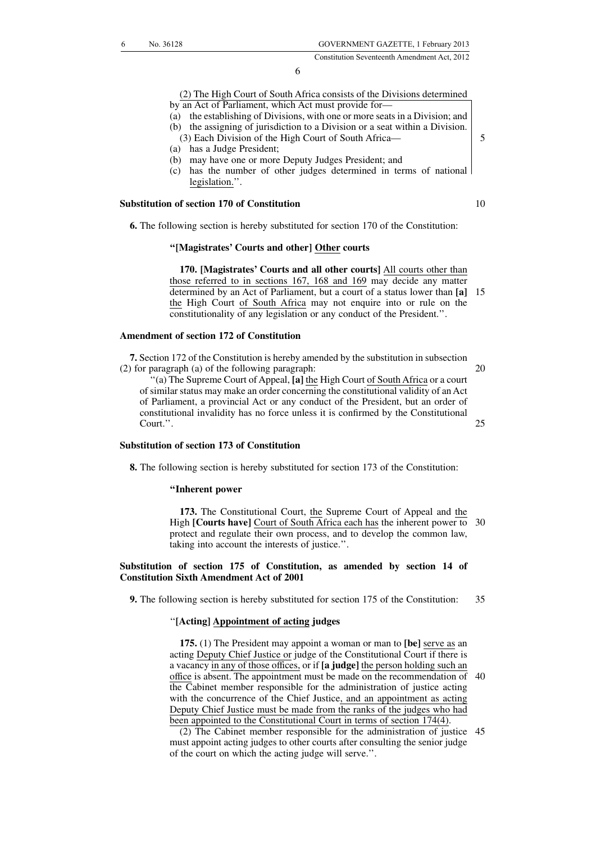Constitution Seventeenth Amendment Act, 2012

6

## (2) The High Court of South Africa consists of the Divisions determined

- by an Act of Parliament, which Act must provide for—
- (a) the establishing of Divisions, with one or more seats in a Division; and
- (b) the assigning of jurisdiction to a Division or a seat within a Division.
- (3) Each Division of the High Court of South Africa— (a) has a Judge President;
- (b) may have one or more Deputy Judges President; and
- (c) has the number of other judges determined in terms of national legislation.''.

## **Substitution of section 170 of Constitution**

**6.** The following section is hereby substituted for section 170 of the Constitution:

## **''[Magistrates' Courts and other] Other courts**

**170. [Magistrates' Courts and all other courts]** All courts other than those referred to in sections 167, 168 and 169 may decide any matter determined by an Act of Parliament, but a court of a status lower than **[a]** 15 the High Court of South Africa may not enquire into or rule on the constitutionality of any legislation or any conduct of the President.''.

## **Amendment of section 172 of Constitution**

**7.** Section 172 of the Constitution is hereby amended by the substitution in subsection (2) for paragraph (a) of the following paragraph:

20

25

5

10

'(a) The Supreme Court of Appeal, <sup>[a]</sup> the High Court of South Africa or a court of similar status may make an order concerning the constitutional validity of an Act of Parliament, a provincial Act or any conduct of the President, but an order of constitutional invalidity has no force unless it is confirmed by the Constitutional Court.''.

## **Substitution of section 173 of Constitution**

**8.** The following section is hereby substituted for section 173 of the Constitution:

#### **''Inherent power**

**173.** The Constitutional Court, the Supreme Court of Appeal and the High **[Courts have]** Court of South Africa each has the inherent power to protect and regulate their own process, and to develop the common law, taking into account the interests of justice.''. 30

## **Substitution of section 175 of Constitution, as amended by section 14 of Constitution Sixth Amendment Act of 2001**

**9.** The following section is hereby substituted for section 175 of the Constitution:

35

## ''**[Acting] Appointment of acting judges**

**175.** (1) The President may appoint a woman or man to **[be]** serve as an acting Deputy Chief Justice or judge of the Constitutional Court if there is a vacancy in any of those offices, or if **[a judge]** the person holding such an office is absent. The appointment must be made on the recommendation of 40 the Cabinet member responsible for the administration of justice acting with the concurrence of the Chief Justice, and an appointment as acting Deputy Chief Justice must be made from the ranks of the judges who had been appointed to the Constitutional Court in terms of section 174(4).

(2) The Cabinet member responsible for the administration of justice 45must appoint acting judges to other courts after consulting the senior judge of the court on which the acting judge will serve.''.